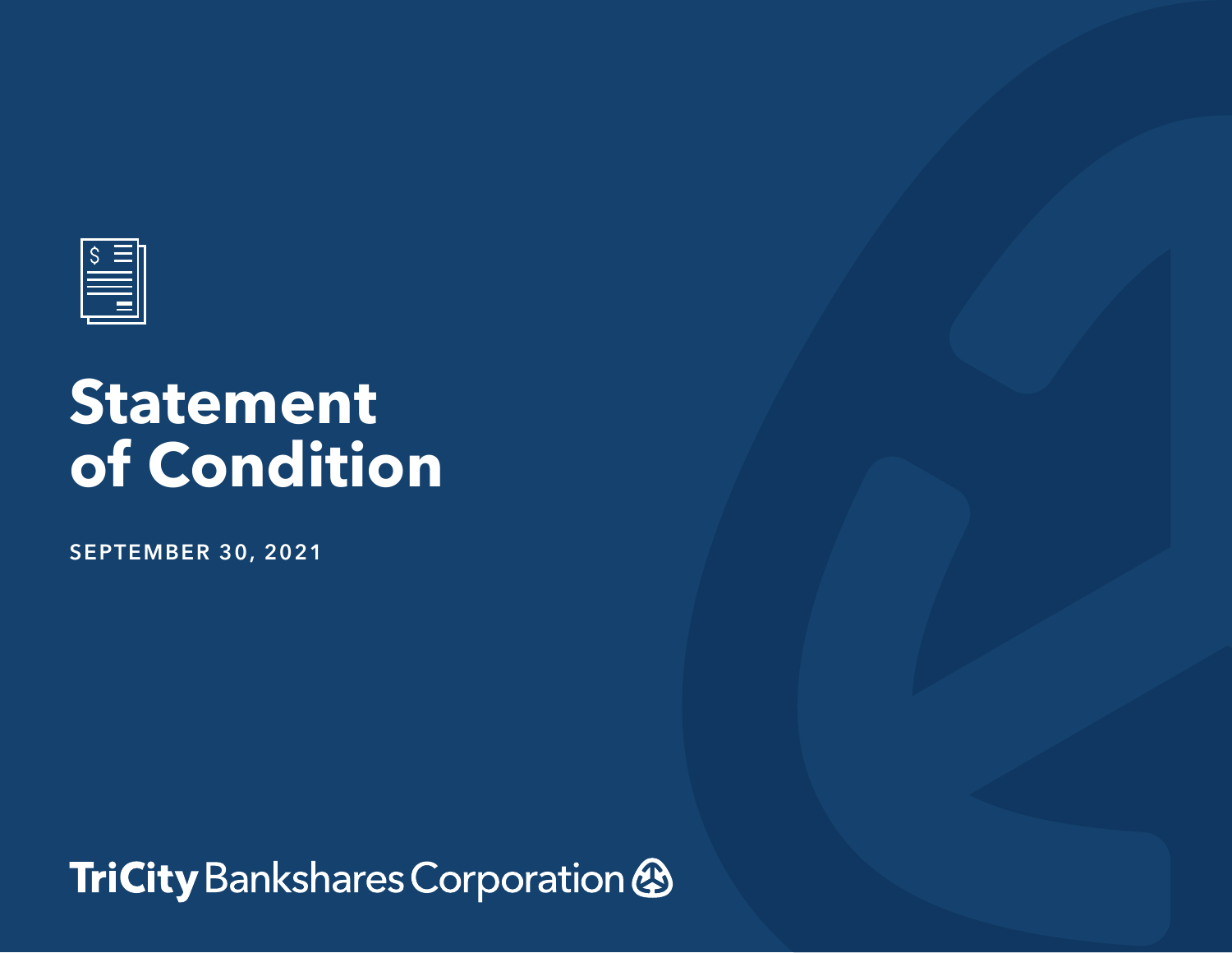

## **Statement of Condition**

**SEPTEMBER 30, 2021**

TriCity Bankshares Corporation &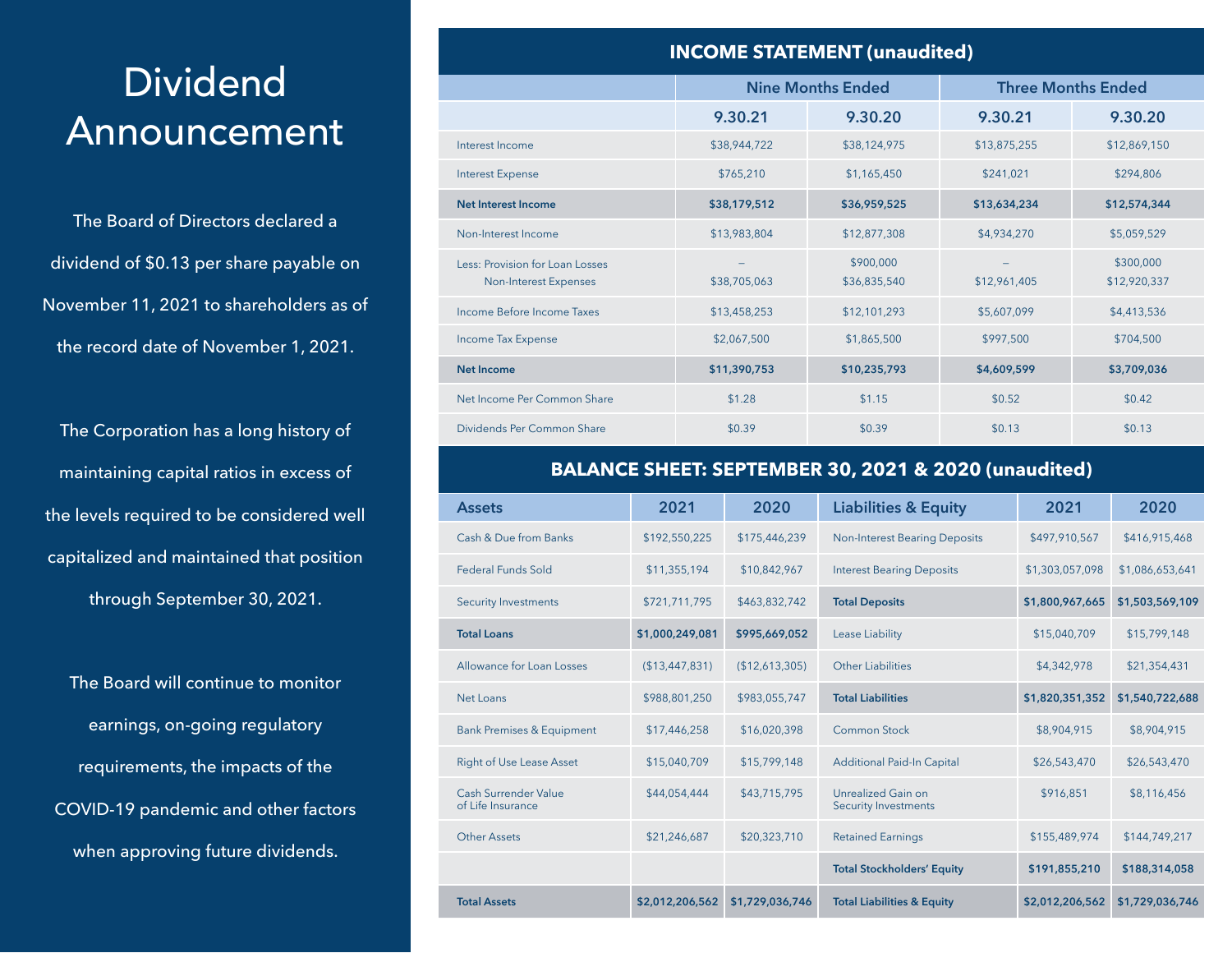## **Dividend** Announcement

The Board of Directors declared a dividend of \$0.13 per share payable on November 11, 2021 to shareholders as of the record date of November 1, 2021.

The Corporation has a long history of maintaining capital ratios in excess of the levels required to be considered well capitalized and maintained that position through September 30, 2021.

The Board will continue to monitor earnings, on-going regulatory requirements, the impacts of the COVID-19 pandemic and other factors when approving future dividends.

| <b>INCOME STATEMENT (unaudited)</b>                      |                          |                           |                           |                           |  |  |  |  |  |
|----------------------------------------------------------|--------------------------|---------------------------|---------------------------|---------------------------|--|--|--|--|--|
|                                                          | <b>Nine Months Ended</b> |                           | <b>Three Months Ended</b> |                           |  |  |  |  |  |
|                                                          | 9.30.21                  | 9.30.20                   | 9.30.21                   | 9.30.20                   |  |  |  |  |  |
| Interest Income                                          | \$38,944,722             | \$38,124,975              | \$13,875,255              | \$12,869,150              |  |  |  |  |  |
| <b>Interest Expense</b>                                  | \$765,210                | \$1,165,450               | \$241.021                 | \$294,806                 |  |  |  |  |  |
| <b>Net Interest Income</b>                               | \$38,179,512             | \$36,959,525              | \$13,634,234              | \$12,574,344              |  |  |  |  |  |
| Non-Interest Income                                      | \$13,983,804             | \$12,877,308              | \$4,934,270               | \$5,059,529               |  |  |  |  |  |
| Less: Provision for Loan Losses<br>Non-Interest Expenses | \$38,705,063             | \$900,000<br>\$36,835,540 | \$12,961,405              | \$300,000<br>\$12,920,337 |  |  |  |  |  |
| Income Before Income Taxes                               | \$13,458,253             | \$12,101,293              | \$5,607,099               | \$4,413,536               |  |  |  |  |  |
| Income Tax Expense                                       | \$2,067,500              | \$1,865,500               | \$997,500                 | \$704,500                 |  |  |  |  |  |
| Net Income                                               | \$11,390,753             | \$10,235,793              | \$4,609,599               | \$3,709,036               |  |  |  |  |  |
| Net Income Per Common Share                              | \$1.28                   | \$1.15                    | \$0.52                    | \$0.42                    |  |  |  |  |  |
| Dividends Per Common Share                               | \$0.39                   | \$0.39                    | \$0.13                    | \$0.13                    |  |  |  |  |  |

## **BALANCE SHEET: SEPTEMBER 30, 2021 & 2020 (unaudited)**

| <b>Assets</b>                                    | 2021            | 2020            | <b>Liabilities &amp; Equity</b>                   | 2021            | 2020            |
|--------------------------------------------------|-----------------|-----------------|---------------------------------------------------|-----------------|-----------------|
| Cash & Due from Banks                            | \$192,550,225   | \$175,446,239   | <b>Non-Interest Bearing Deposits</b>              | \$497,910,567   | \$416,915,468   |
| <b>Federal Funds Sold</b>                        | \$11,355,194    | \$10,842,967    | <b>Interest Bearing Deposits</b>                  | \$1,303,057,098 | \$1,086,653,641 |
| <b>Security Investments</b>                      | \$721,711,795   | \$463,832,742   | <b>Total Deposits</b>                             | \$1,800,967,665 | \$1,503,569,109 |
| <b>Total Loans</b>                               | \$1,000,249,081 | \$995,669,052   | Lease Liability                                   | \$15,040,709    | \$15,799,148    |
| Allowance for Loan Losses                        | (\$13,447,831)  | (\$12,613,305)  | Other Liabilities                                 | \$4,342,978     | \$21,354,431    |
| Net Loans                                        | \$988,801,250   | \$983,055,747   | <b>Total Liabilities</b>                          | \$1,820,351,352 | \$1,540,722,688 |
| <b>Bank Premises &amp; Equipment</b>             | \$17,446,258    | \$16,020,398    | <b>Common Stock</b>                               | \$8,904,915     | \$8,904,915     |
| <b>Right of Use Lease Asset</b>                  | \$15,040,709    | \$15,799,148    | <b>Additional Paid-In Capital</b>                 | \$26,543,470    | \$26,543,470    |
| <b>Cash Surrender Value</b><br>of Life Insurance | \$44,054,444    | \$43,715,795    | Unrealized Gain on<br><b>Security Investments</b> | \$916,851       | \$8,116,456     |
| <b>Other Assets</b>                              | \$21,246,687    | \$20,323,710    | <b>Retained Earnings</b>                          | \$155,489,974   | \$144,749,217   |
|                                                  |                 |                 | <b>Total Stockholders' Equity</b>                 | \$191,855,210   | \$188,314,058   |
| <b>Total Assets</b>                              | \$2,012,206,562 | \$1,729,036,746 | <b>Total Liabilities &amp; Equity</b>             | \$2,012,206,562 | \$1,729,036,746 |